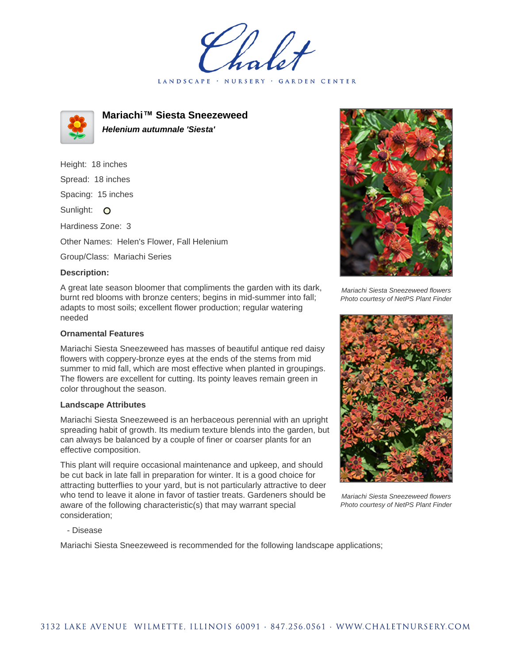LANDSCAPE · NURSERY **GARDEN CENTER** 



**Mariachi™ Siesta Sneezeweed Helenium autumnale 'Siesta'**

Height: 18 inches Spread: 18 inches

Spacing: 15 inches

Sunlight: O

Hardiness Zone: 3

Other Names: Helen's Flower, Fall Helenium

Group/Class: Mariachi Series

## **Description:**

A great late season bloomer that compliments the garden with its dark, burnt red blooms with bronze centers; begins in mid-summer into fall; adapts to most soils; excellent flower production; regular watering needed

## **Ornamental Features**

Mariachi Siesta Sneezeweed has masses of beautiful antique red daisy flowers with coppery-bronze eyes at the ends of the stems from mid summer to mid fall, which are most effective when planted in groupings. The flowers are excellent for cutting. Its pointy leaves remain green in color throughout the season.

## **Landscape Attributes**

Mariachi Siesta Sneezeweed is an herbaceous perennial with an upright spreading habit of growth. Its medium texture blends into the garden, but can always be balanced by a couple of finer or coarser plants for an effective composition.

This plant will require occasional maintenance and upkeep, and should be cut back in late fall in preparation for winter. It is a good choice for attracting butterflies to your yard, but is not particularly attractive to deer who tend to leave it alone in favor of tastier treats. Gardeners should be aware of the following characteristic(s) that may warrant special consideration;



Mariachi Siesta Sneezeweed flowers Photo courtesy of NetPS Plant Finder



Mariachi Siesta Sneezeweed flowers Photo courtesy of NetPS Plant Finder

- Disease

Mariachi Siesta Sneezeweed is recommended for the following landscape applications;